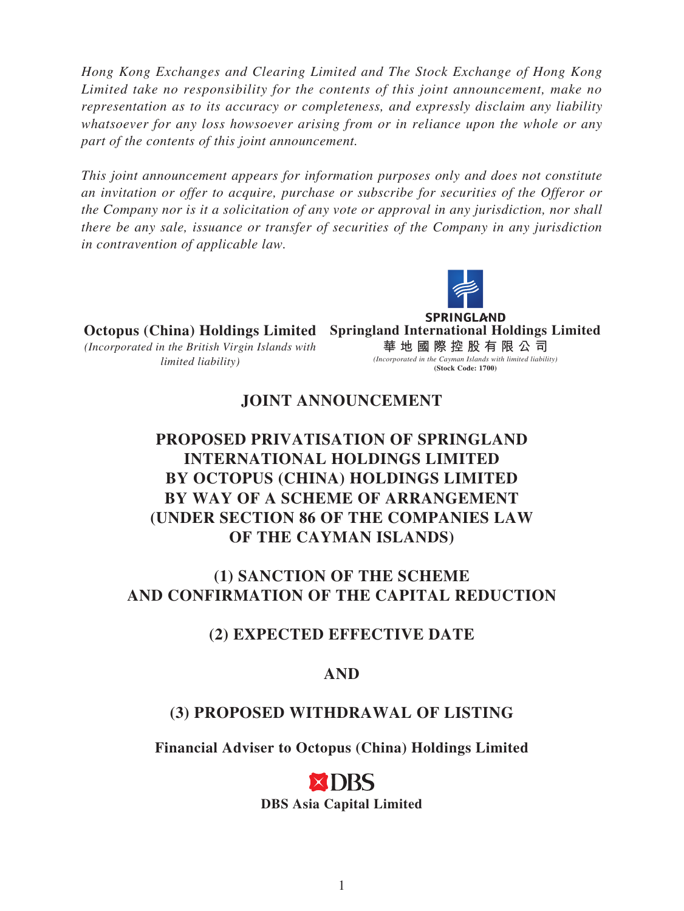*Hong Kong Exchanges and Clearing Limited and The Stock Exchange of Hong Kong Limited take no responsibility for the contents of this joint announcement, make no representation as to its accuracy or completeness, and expressly disclaim any liability whatsoever for any loss howsoever arising from or in reliance upon the whole or any part of the contents of this joint announcement.*

*This joint announcement appears for information purposes only and does not constitute an invitation or offer to acquire, purchase or subscribe for securities of the Offeror or the Company nor is it a solicitation of any vote or approval in any jurisdiction, nor shall there be any sale, issuance or transfer of securities of the Company in any jurisdiction in contravention of applicable law.*



**SPRINGLAND Octopus (China) Holdings Limited Springland International Holdings Limited** *(Incorporated in the British Virgin Islands with*  **華地國際控股有限公 司** *limited liability)*

#### *(Incorporated in the Cayman Islands with limited liability)* **(Stock Code: 1700)**

# **JOINT ANNOUNCEMENT**

# **PROPOSED PRIVATISATION OF SPRINGLAND INTERNATIONAL HOLDINGS LIMITED BY OCTOPUS (CHINA) HOLDINGS LIMITED BY WAY OF A SCHEME OF ARRANGEMENT (UNDER SECTION 86 OF THE COMPANIES LAW OF THE CAYMAN ISLANDS)**

# **(1) SANCTION OF THE SCHEME AND CONFIRMATION OF THE CAPITAL REDUCTION**

# **(2) EXPECTED EFFECTIVE DATE**

# **AND**

# **(3) PROPOSED WITHDRAWAL OF LISTING**

**Financial Adviser to Octopus (China) Holdings Limited**

# (DRS **DBS Asia Capital Limited**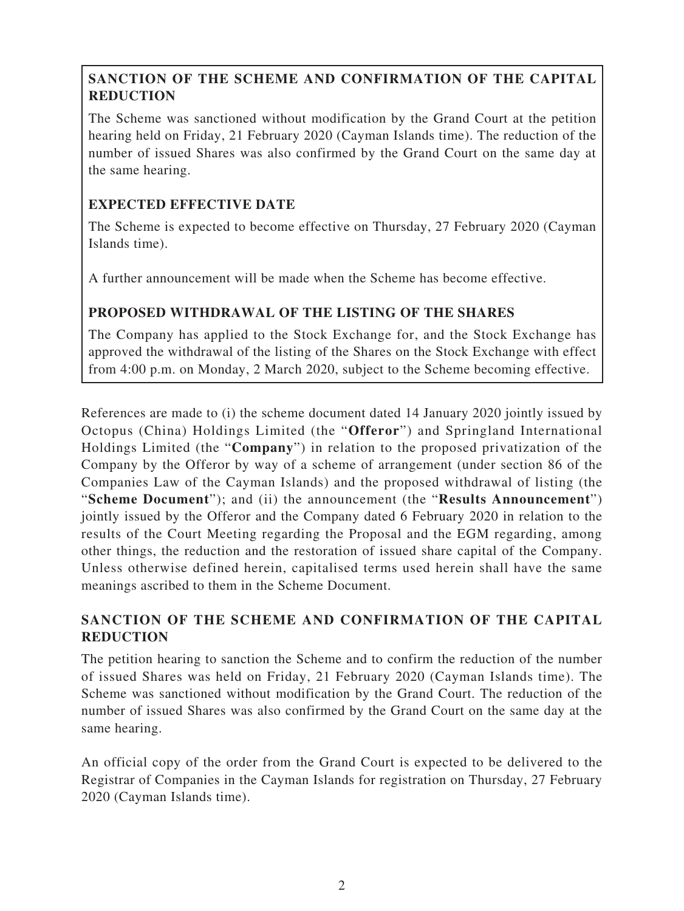## **SANCTION OF THE SCHEME AND CONFIRMATION OF THE CAPITAL REDUCTION**

The Scheme was sanctioned without modification by the Grand Court at the petition hearing held on Friday, 21 February 2020 (Cayman Islands time). The reduction of the number of issued Shares was also confirmed by the Grand Court on the same day at the same hearing.

## **EXPECTED EFFECTIVE DATE**

The Scheme is expected to become effective on Thursday, 27 February 2020 (Cayman Islands time).

A further announcement will be made when the Scheme has become effective.

## **PROPOSED WITHDRAWAL OF THE LISTING OF THE SHARES**

The Company has applied to the Stock Exchange for, and the Stock Exchange has approved the withdrawal of the listing of the Shares on the Stock Exchange with effect from 4:00 p.m. on Monday, 2 March 2020, subject to the Scheme becoming effective.

References are made to (i) the scheme document dated 14 January 2020 jointly issued by Octopus (China) Holdings Limited (the "**Offeror**") and Springland International Holdings Limited (the "**Company**") in relation to the proposed privatization of the Company by the Offeror by way of a scheme of arrangement (under section 86 of the Companies Law of the Cayman Islands) and the proposed withdrawal of listing (the "**Scheme Document**"); and (ii) the announcement (the "**Results Announcement**") jointly issued by the Offeror and the Company dated 6 February 2020 in relation to the results of the Court Meeting regarding the Proposal and the EGM regarding, among other things, the reduction and the restoration of issued share capital of the Company. Unless otherwise defined herein, capitalised terms used herein shall have the same meanings ascribed to them in the Scheme Document.

## **SANCTION OF THE SCHEME AND CONFIRMATION OF THE CAPITAL REDUCTION**

The petition hearing to sanction the Scheme and to confirm the reduction of the number of issued Shares was held on Friday, 21 February 2020 (Cayman Islands time). The Scheme was sanctioned without modification by the Grand Court. The reduction of the number of issued Shares was also confirmed by the Grand Court on the same day at the same hearing.

An official copy of the order from the Grand Court is expected to be delivered to the Registrar of Companies in the Cayman Islands for registration on Thursday, 27 February 2020 (Cayman Islands time).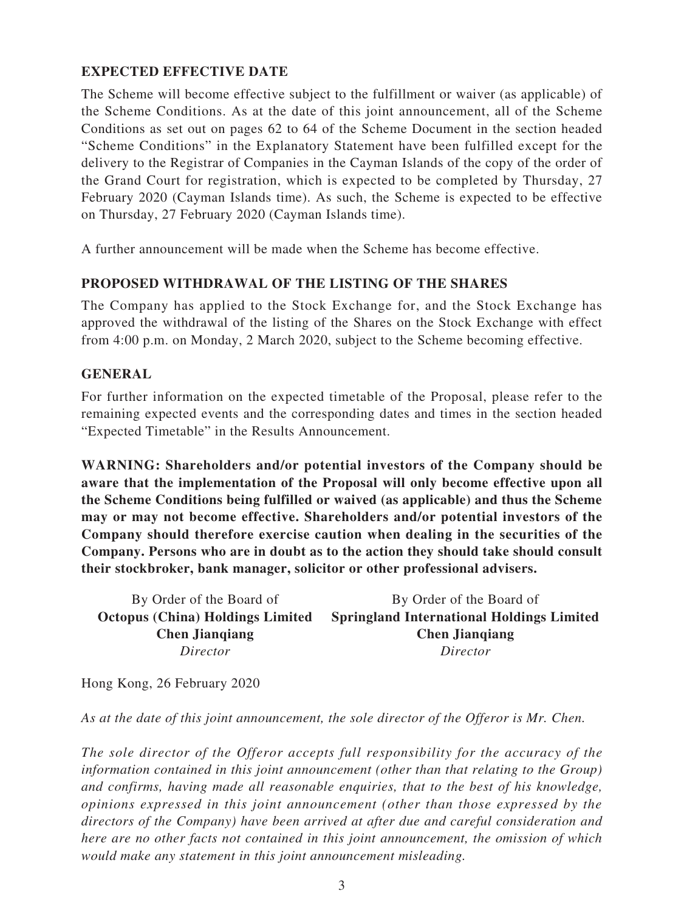#### **EXPECTED EFFECTIVE DATE**

The Scheme will become effective subject to the fulfillment or waiver (as applicable) of the Scheme Conditions. As at the date of this joint announcement, all of the Scheme Conditions as set out on pages 62 to 64 of the Scheme Document in the section headed "Scheme Conditions" in the Explanatory Statement have been fulfilled except for the delivery to the Registrar of Companies in the Cayman Islands of the copy of the order of the Grand Court for registration, which is expected to be completed by Thursday, 27 February 2020 (Cayman Islands time). As such, the Scheme is expected to be effective on Thursday, 27 February 2020 (Cayman Islands time).

A further announcement will be made when the Scheme has become effective.

#### **PROPOSED WITHDRAWAL OF THE LISTING OF THE SHARES**

The Company has applied to the Stock Exchange for, and the Stock Exchange has approved the withdrawal of the listing of the Shares on the Stock Exchange with effect from 4:00 p.m. on Monday, 2 March 2020, subject to the Scheme becoming effective.

#### **GENERAL**

For further information on the expected timetable of the Proposal, please refer to the remaining expected events and the corresponding dates and times in the section headed "Expected Timetable" in the Results Announcement.

**WARNING: Shareholders and/or potential investors of the Company should be aware that the implementation of the Proposal will only become effective upon all the Scheme Conditions being fulfilled or waived (as applicable) and thus the Scheme may or may not become effective. Shareholders and/or potential investors of the Company should therefore exercise caution when dealing in the securities of the Company. Persons who are in doubt as to the action they should take should consult their stockbroker, bank manager, solicitor or other professional advisers.**

By Order of the Board of **Octopus (China) Holdings Limited Chen Jianqiang** *Director* By Order of the Board of **Springland International Holdings Limited Chen Jianqiang** *Director*

Hong Kong, 26 February 2020

*As at the date of this joint announcement, the sole director of the Offeror is Mr. Chen.*

*The sole director of the Offeror accepts full responsibility for the accuracy of the information contained in this joint announcement (other than that relating to the Group) and confirms, having made all reasonable enquiries, that to the best of his knowledge, opinions expressed in this joint announcement (other than those expressed by the directors of the Company) have been arrived at after due and careful consideration and here are no other facts not contained in this joint announcement, the omission of which would make any statement in this joint announcement misleading.*